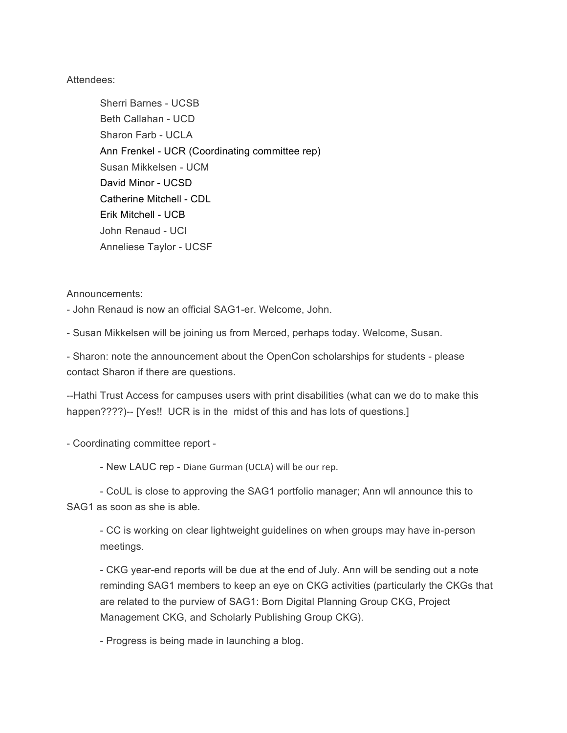## Attendees:

Sherri Barnes - UCSB Beth Callahan - UCD Sharon Farb - UCLA Ann Frenkel - UCR (Coordinating committee rep) Susan Mikkelsen - UCM David Minor - UCSD Catherine Mitchell - CDL Erik Mitchell - UCB John Renaud - UCI Anneliese Taylor - UCSF

Announcements:

- John Renaud is now an official SAG1-er. Welcome, John.

- Susan Mikkelsen will be joining us from Merced, perhaps today. Welcome, Susan.

- Sharon: note the announcement about the OpenCon scholarships for students - please contact Sharon if there are questions.

--Hathi Trust Access for campuses users with print disabilities (what can we do to make this happen????)-- [Yes!! UCR is in the midst of this and has lots of questions.]

- Coordinating committee report -

- New LAUC rep - Diane Gurman (UCLA) will be our rep.

- CoUL is close to approving the SAG1 portfolio manager; Ann wll announce this to SAG1 as soon as she is able.

- CC is working on clear lightweight guidelines on when groups may have in-person meetings.

- CKG year-end reports will be due at the end of July. Ann will be sending out a note reminding SAG1 members to keep an eye on CKG activities (particularly the CKGs that are related to the purview of SAG1: Born Digital Planning Group CKG, Project Management CKG, and Scholarly Publishing Group CKG).

- Progress is being made in launching a blog.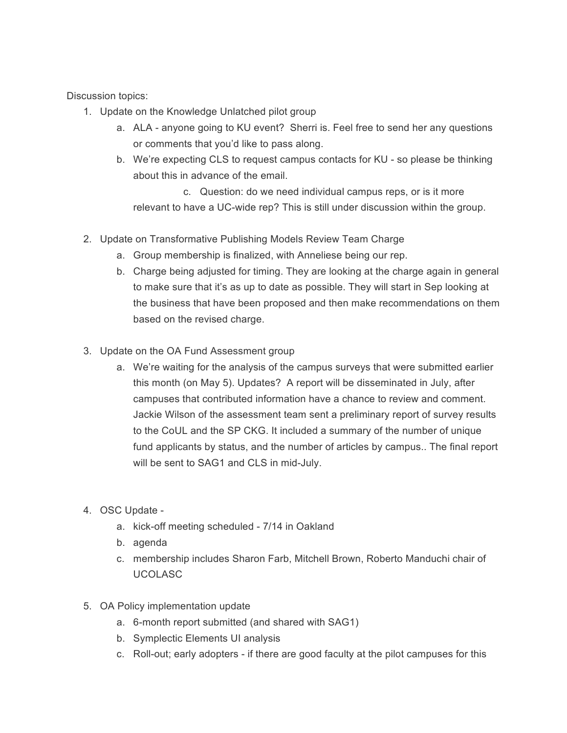Discussion topics:

- 1. Update on the Knowledge Unlatched pilot group
	- a. ALA anyone going to KU event? Sherri is. Feel free to send her any questions or comments that you'd like to pass along.
	- b. We're expecting CLS to request campus contacts for KU so please be thinking about this in advance of the email.

c. Question: do we need individual campus reps, or is it more relevant to have a UC-wide rep? This is still under discussion within the group.

- 2. Update on Transformative Publishing Models Review Team Charge
	- a. Group membership is finalized, with Anneliese being our rep.
	- b. Charge being adjusted for timing. They are looking at the charge again in general to make sure that it's as up to date as possible. They will start in Sep looking at the business that have been proposed and then make recommendations on them based on the revised charge.
- 3. Update on the OA Fund Assessment group
	- a. We're waiting for the analysis of the campus surveys that were submitted earlier this month (on May 5). Updates? A report will be disseminated in July, after campuses that contributed information have a chance to review and comment. Jackie Wilson of the assessment team sent a preliminary report of survey results to the CoUL and the SP CKG. It included a summary of the number of unique fund applicants by status, and the number of articles by campus.. The final report will be sent to SAG1 and CLS in mid-July.
- 4. OSC Update
	- a. kick-off meeting scheduled 7/14 in Oakland
	- b. agenda
	- c. membership includes Sharon Farb, Mitchell Brown, Roberto Manduchi chair of UCOLASC
- 5. OA Policy implementation update
	- a. 6-month report submitted (and shared with SAG1)
	- b. Symplectic Elements UI analysis
	- c. Roll-out; early adopters if there are good faculty at the pilot campuses for this